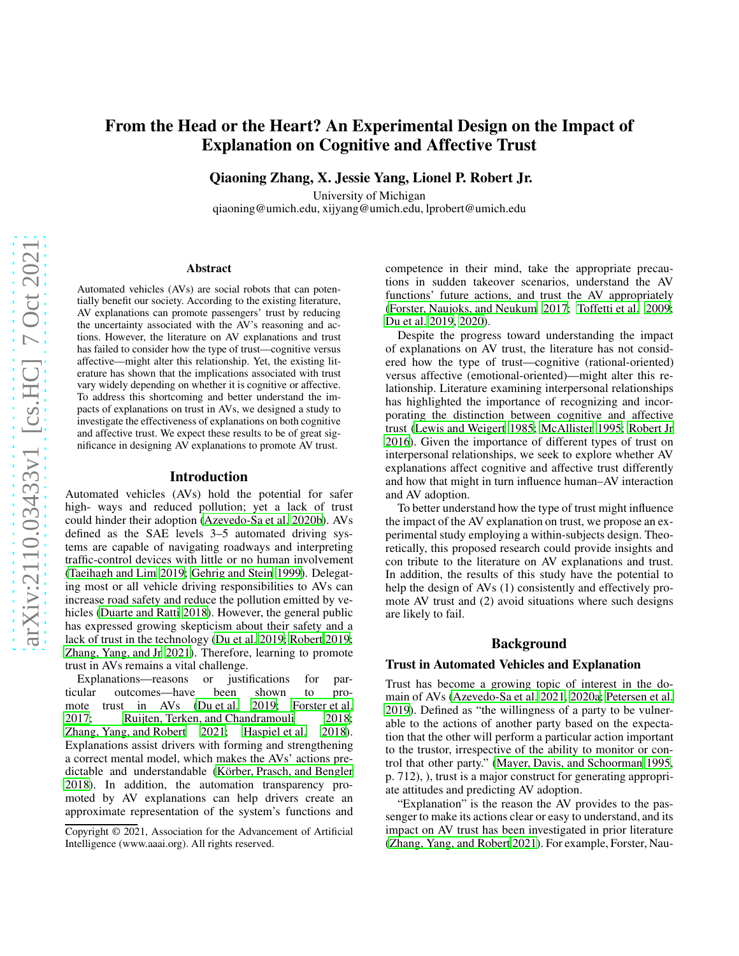# From the Head or the Heart? An Experimental Design on the Impact of Explanation on Cognitive and Affective Trust

Qiaoning Zhang, X. Jessie Yang, Lionel P. Robert Jr.

University of Michigan

qiaoning@umich.edu, xijyang@umich.edu, lprobert@umich.edu

#### Abstract

Automated vehicles (AVs) are social robots that can potentially benefit our society. According to the existing literature, AV explanations can promote passengers' trust by reducing the uncertainty associated with the AV's reasoning and actions. However, the literature on AV explanations and trust has failed to consider how the type of trust—cognitive versus affective—might alter this relationship. Yet, the existing literature has shown that the implications associated with trust vary widely depending on whether it is cognitive or affective. To address this shortcoming and better understand the impacts of explanations on trust in AVs, we designed a study to investigate the effectiveness of explanations on both cognitive and affective trust. We expect these results to be of great significance in designing AV explanations to promote AV trust.

#### Introduction

Automated vehicles (AVs) hold the potential for safer high- ways and reduced pollution; yet a lack of trust could hinder their adoption [\(Azevedo-Sa et al. 2020b](#page-2-0)). AVs defined as the SAE levels 3–5 automated driving systems are capable of navigating roadways and interpreting traffic-control devices with little or no human involvement [\(Taeihagh and Lim 2019;](#page-3-0) [Gehrig and Stein 1999\)](#page-2-1). Delegating most or all vehicle driving responsibilities to AVs can increase road safety and reduce the pollution emitted by vehicles [\(Duarte and Ratti 2018\)](#page-2-2). However, the general public has expressed growing skepticism about their safety and a lack of trust in the technology [\(Du et al. 2019](#page-2-3); [Robert 2019;](#page-3-1) [Zhang, Yang, and Jr 2021\)](#page-3-2). Therefore, learning to promote trust in AVs remains a vital challenge.

Explanations—reasons or justifications for particular outcomes—have been shown to pro-mote trust in AVs [\(Du et al. 2019;](#page-2-3) [Forster et al.](#page-2-4) [2017;](#page-2-4) [Ruijten, Terken, and Chandramouli 2018;](#page-3-3) [Zhang, Yang, and Robert 2021;](#page-3-4) [Haspiel et al. 2018\)](#page-2-5). Explanations assist drivers with forming and strengthening a correct mental model, which makes the AVs' actions predictable and understandable (Körber, Prasch, and Bengler [2018\)](#page-3-5). In addition, the automation transparency promoted by AV explanations can help drivers create an approximate representation of the system's functions and competence in their mind, take the appropriate precautions in sudden takeover scenarios, understand the AV functions' future actions, and trust the AV appropriately [\(Forster, Naujoks, and Neukum 2017;](#page-2-6) [Toffetti et al. 2009](#page-3-6); [Du et al. 2019,](#page-2-3) [2020\)](#page-2-7).

Despite the progress toward understanding the impact of explanations on AV trust, the literature has not considered how the type of trust—cognitive (rational-oriented) versus affective (emotional-oriented)—might alter this relationship. Literature examining interpersonal relationships has highlighted the importance of recognizing and incorporating the distinction between cognitive and affective trust [\(Lewis and Weigert 1985](#page-3-7); [McAllister 1995;](#page-3-8) [Robert Jr](#page-3-9) [2016\)](#page-3-9). Given the importance of different types of trust on interpersonal relationships, we seek to explore whether AV explanations affect cognitive and affective trust differently and how that might in turn influence human–AV interaction and AV adoption.

To better understand how the type of trust might influence the impact of the AV explanation on trust, we propose an experimental study employing a within-subjects design. Theoretically, this proposed research could provide insights and con tribute to the literature on AV explanations and trust. In addition, the results of this study have the potential to help the design of AVs (1) consistently and effectively promote AV trust and (2) avoid situations where such designs are likely to fail.

# Background

#### Trust in Automated Vehicles and Explanation

Trust has become a growing topic of interest in the domain of AVs [\(Azevedo-Sa et al. 2021,](#page-2-8) [2020a](#page-2-9); [Petersen et al.](#page-3-10) [2019\)](#page-3-10). Defined as "the willingness of a party to be vulnerable to the actions of another party based on the expectation that the other will perform a particular action important to the trustor, irrespective of the ability to monitor or control that other party." [\(Mayer, Davis, and Schoorman 1995,](#page-3-11) p. 712), ), trust is a major construct for generating appropriate attitudes and predicting AV adoption.

"Explanation" is the reason the AV provides to the passenger to make its actions clear or easy to understand, and its impact on AV trust has been investigated in prior literature [\(Zhang, Yang, and Robert 2021\)](#page-3-4). For example, Forster, Nau-

Copyright © 2021, Association for the Advancement of Artificial Intelligence (www.aaai.org). All rights reserved.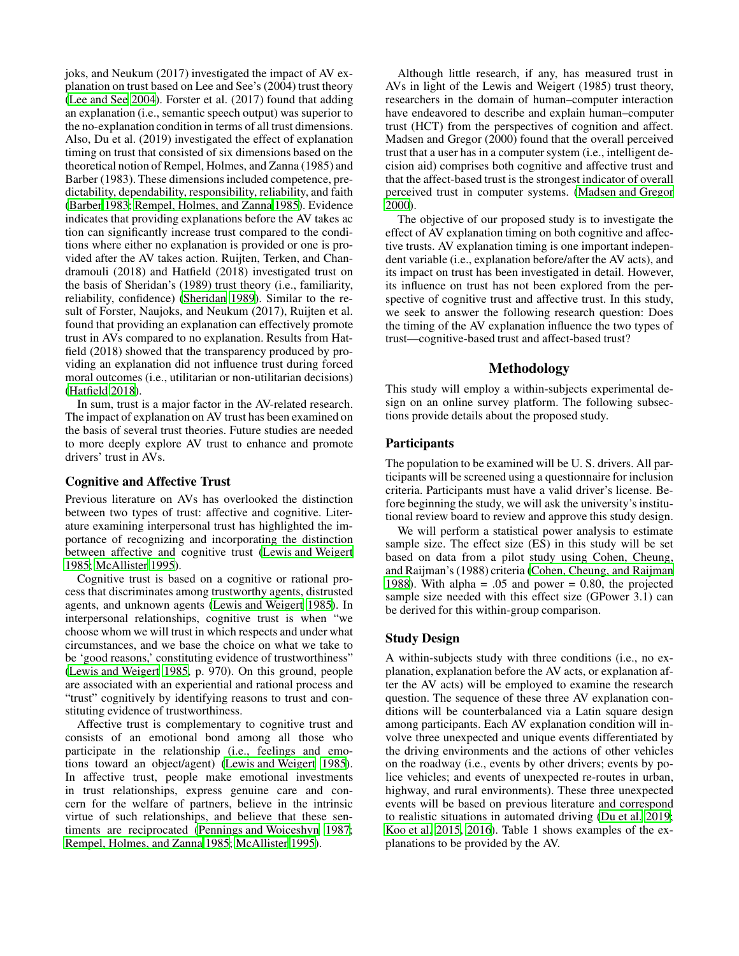joks, and Neukum (2017) investigated the impact of AV explanation on trust based on Lee and See's (2004) trust theory [\(Lee and See 2004\)](#page-3-12). Forster et al. (2017) found that adding an explanation (i.e., semantic speech output) was superior to the no-explanation condition in terms of all trust dimensions. Also, Du et al. (2019) investigated the effect of explanation timing on trust that consisted of six dimensions based on the theoretical notion of Rempel, Holmes, and Zanna (1985) and Barber (1983). These dimensions included competence, predictability, dependability, responsibility, reliability, and faith [\(Barber 1983;](#page-2-10) [Rempel, Holmes, and Zanna 1985\)](#page-3-13). Evidence indicates that providing explanations before the AV takes ac tion can significantly increase trust compared to the conditions where either no explanation is provided or one is provided after the AV takes action. Ruijten, Terken, and Chandramouli (2018) and Hatfield (2018) investigated trust on the basis of Sheridan's (1989) trust theory (i.e., familiarity, reliability, confidence) [\(Sheridan 1989](#page-3-14)). Similar to the result of Forster, Naujoks, and Neukum (2017), Ruijten et al. found that providing an explanation can effectively promote trust in AVs compared to no explanation. Results from Hatfield (2018) showed that the transparency produced by providing an explanation did not influence trust during forced moral outcomes (i.e., utilitarian or non-utilitarian decisions) [\(Hatfield 2018\)](#page-3-15).

In sum, trust is a major factor in the AV-related research. The impact of explanation on AV trust has been examined on the basis of several trust theories. Future studies are needed to more deeply explore AV trust to enhance and promote drivers' trust in AVs.

## Cognitive and Affective Trust

Previous literature on AVs has overlooked the distinction between two types of trust: affective and cognitive. Literature examining interpersonal trust has highlighted the importance of recognizing and incorporating the distinction between affective and cognitive trust [\(Lewis and Weigert](#page-3-7) [1985;](#page-3-7) [McAllister 1995\)](#page-3-8).

Cognitive trust is based on a cognitive or rational process that discriminates among trustworthy agents, distrusted agents, and unknown agents [\(Lewis and Weigert 1985\)](#page-3-7). In interpersonal relationships, cognitive trust is when "we choose whom we will trust in which respects and under what circumstances, and we base the choice on what we take to be 'good reasons,' constituting evidence of trustworthiness" [\(Lewis and Weigert 1985,](#page-3-7) p. 970). On this ground, people are associated with an experiential and rational process and "trust" cognitively by identifying reasons to trust and constituting evidence of trustworthiness.

Affective trust is complementary to cognitive trust and consists of an emotional bond among all those who participate in the relationship (i.e., feelings and emotions toward an object/agent) [\(Lewis and Weigert 1985\)](#page-3-7). In affective trust, people make emotional investments in trust relationships, express genuine care and concern for the welfare of partners, believe in the intrinsic virtue of such relationships, and believe that these sentiments are reciprocated [\(Pennings and Woiceshyn 1987;](#page-3-16) [Rempel, Holmes, and Zanna 1985](#page-3-13); [McAllister 1995](#page-3-8)).

Although little research, if any, has measured trust in AVs in light of the Lewis and Weigert (1985) trust theory, researchers in the domain of human–computer interaction have endeavored to describe and explain human–computer trust (HCT) from the perspectives of cognition and affect. Madsen and Gregor (2000) found that the overall perceived trust that a user has in a computer system (i.e., intelligent decision aid) comprises both cognitive and affective trust and that the affect-based trust is the strongest indicator of overall perceived trust in computer systems. [\(Madsen and Gregor](#page-3-17) [2000\)](#page-3-17).

The objective of our proposed study is to investigate the effect of AV explanation timing on both cognitive and affective trusts. AV explanation timing is one important independent variable (i.e., explanation before/after the AV acts), and its impact on trust has been investigated in detail. However, its influence on trust has not been explored from the perspective of cognitive trust and affective trust. In this study, we seek to answer the following research question: Does the timing of the AV explanation influence the two types of trust—cognitive-based trust and affect-based trust?

## Methodology

This study will employ a within-subjects experimental design on an online survey platform. The following subsections provide details about the proposed study.

# **Participants**

The population to be examined will be U. S. drivers. All participants will be screened using a questionnaire for inclusion criteria. Participants must have a valid driver's license. Before beginning the study, we will ask the university's institutional review board to review and approve this study design.

We will perform a statistical power analysis to estimate sample size. The effect size (ES) in this study will be set based on data from a pilot study using Cohen, Cheung, and Raijman's (1988) criteria [\(Cohen, Cheung, and Raijman](#page-2-11) [1988\)](#page-2-11). With alpha =  $.05$  and power = 0.80, the projected sample size needed with this effect size (GPower 3.1) can be derived for this within-group comparison.

## Study Design

A within-subjects study with three conditions (i.e., no explanation, explanation before the AV acts, or explanation after the AV acts) will be employed to examine the research question. The sequence of these three AV explanation conditions will be counterbalanced via a Latin square design among participants. Each AV explanation condition will involve three unexpected and unique events differentiated by the driving environments and the actions of other vehicles on the roadway (i.e., events by other drivers; events by police vehicles; and events of unexpected re-routes in urban, highway, and rural environments). These three unexpected events will be based on previous literature and correspond to realistic situations in automated driving [\(Du et al. 2019](#page-2-3); [Koo et al. 2015,](#page-3-18) [2016](#page-3-19)). Table 1 shows examples of the explanations to be provided by the AV.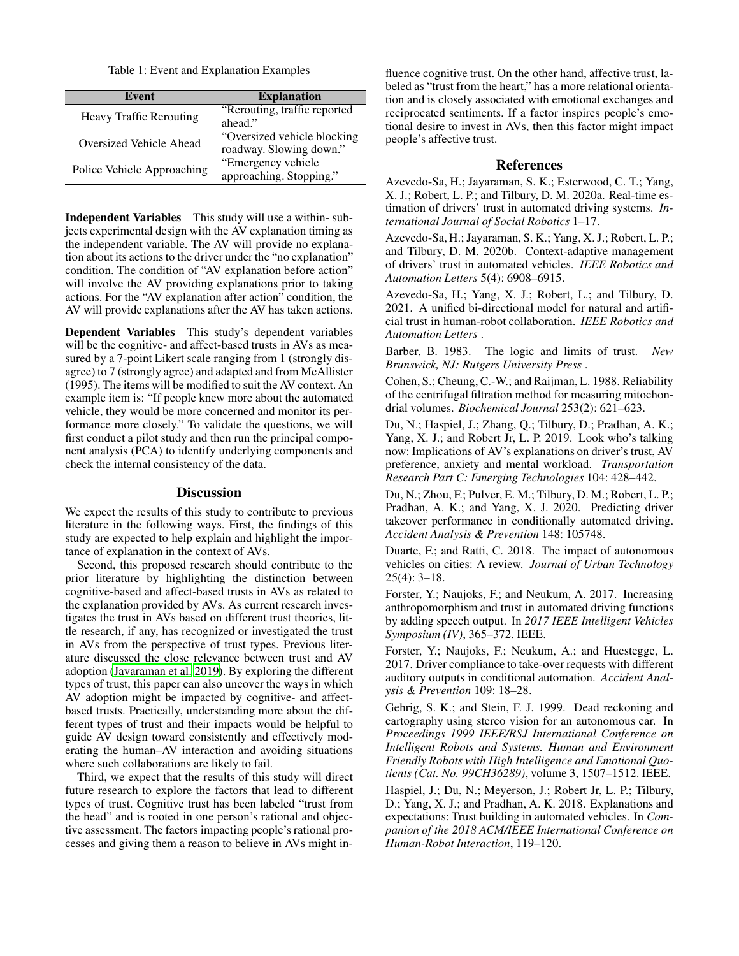Table 1: Event and Explanation Examples

| Event                          | <b>Explanation</b>           |
|--------------------------------|------------------------------|
| <b>Heavy Traffic Rerouting</b> | "Rerouting, traffic reported |
|                                | ahead."                      |
| <b>Oversized Vehicle Ahead</b> | "Oversized vehicle blocking  |
|                                | roadway. Slowing down."      |
| Police Vehicle Approaching     | "Emergency vehicle           |
|                                | approaching. Stopping."      |

Independent Variables This study will use a within- subjects experimental design with the AV explanation timing as the independent variable. The AV will provide no explanation about its actions to the driver under the "no explanation" condition. The condition of "AV explanation before action" will involve the AV providing explanations prior to taking actions. For the "AV explanation after action" condition, the AV will provide explanations after the AV has taken actions.

Dependent Variables This study's dependent variables will be the cognitive- and affect-based trusts in AVs as measured by a 7-point Likert scale ranging from 1 (strongly disagree) to 7 (strongly agree) and adapted and from McAllister (1995). The items will be modified to suit the AV context. An example item is: "If people knew more about the automated vehicle, they would be more concerned and monitor its performance more closely." To validate the questions, we will first conduct a pilot study and then run the principal component analysis (PCA) to identify underlying components and check the internal consistency of the data.

# **Discussion**

We expect the results of this study to contribute to previous literature in the following ways. First, the findings of this study are expected to help explain and highlight the importance of explanation in the context of AVs.

Second, this proposed research should contribute to the prior literature by highlighting the distinction between cognitive-based and affect-based trusts in AVs as related to the explanation provided by AVs. As current research investigates the trust in AVs based on different trust theories, little research, if any, has recognized or investigated the trust in AVs from the perspective of trust types. Previous literature discussed the close relevance between trust and AV adoption [\(Jayaraman et al. 2019\)](#page-3-20). By exploring the different types of trust, this paper can also uncover the ways in which AV adoption might be impacted by cognitive- and affectbased trusts. Practically, understanding more about the different types of trust and their impacts would be helpful to guide AV design toward consistently and effectively moderating the human–AV interaction and avoiding situations where such collaborations are likely to fail.

Third, we expect that the results of this study will direct future research to explore the factors that lead to different types of trust. Cognitive trust has been labeled "trust from the head" and is rooted in one person's rational and objective assessment. The factors impacting people's rational processes and giving them a reason to believe in AVs might in-

fluence cognitive trust. On the other hand, affective trust, labeled as "trust from the heart," has a more relational orientation and is closely associated with emotional exchanges and reciprocated sentiments. If a factor inspires people's emotional desire to invest in AVs, then this factor might impact people's affective trust.

# References

<span id="page-2-9"></span>Azevedo-Sa, H.; Jayaraman, S. K.; Esterwood, C. T.; Yang, X. J.; Robert, L. P.; and Tilbury, D. M. 2020a. Real-time estimation of drivers' trust in automated driving systems. *International Journal of Social Robotics* 1–17.

<span id="page-2-0"></span>Azevedo-Sa, H.; Jayaraman, S. K.; Yang, X. J.; Robert, L. P.; and Tilbury, D. M. 2020b. Context-adaptive management of drivers' trust in automated vehicles. *IEEE Robotics and Automation Letters* 5(4): 6908–6915.

<span id="page-2-8"></span>Azevedo-Sa, H.; Yang, X. J.; Robert, L.; and Tilbury, D. 2021. A unified bi-directional model for natural and artificial trust in human-robot collaboration. *IEEE Robotics and Automation Letters* .

<span id="page-2-10"></span>Barber, B. 1983. The logic and limits of trust. *New Brunswick, NJ: Rutgers University Press* .

<span id="page-2-11"></span>Cohen, S.; Cheung, C.-W.; and Raijman, L. 1988. Reliability of the centrifugal filtration method for measuring mitochondrial volumes. *Biochemical Journal* 253(2): 621–623.

<span id="page-2-3"></span>Du, N.; Haspiel, J.; Zhang, Q.; Tilbury, D.; Pradhan, A. K.; Yang, X. J.; and Robert Jr, L. P. 2019. Look who's talking now: Implications of AV's explanations on driver's trust, AV preference, anxiety and mental workload. *Transportation Research Part C: Emerging Technologies* 104: 428–442.

<span id="page-2-7"></span>Du, N.; Zhou, F.; Pulver, E. M.; Tilbury, D. M.; Robert, L. P.; Pradhan, A. K.; and Yang, X. J. 2020. Predicting driver takeover performance in conditionally automated driving. *Accident Analysis & Prevention* 148: 105748.

<span id="page-2-2"></span>Duarte, F.; and Ratti, C. 2018. The impact of autonomous vehicles on cities: A review. *Journal of Urban Technology* 25(4): 3–18.

<span id="page-2-6"></span>Forster, Y.; Naujoks, F.; and Neukum, A. 2017. Increasing anthropomorphism and trust in automated driving functions by adding speech output. In *2017 IEEE Intelligent Vehicles Symposium (IV)*, 365–372. IEEE.

<span id="page-2-4"></span>Forster, Y.; Naujoks, F.; Neukum, A.; and Huestegge, L. 2017. Driver compliance to take-over requests with different auditory outputs in conditional automation. *Accident Analysis & Prevention* 109: 18–28.

<span id="page-2-1"></span>Gehrig, S. K.; and Stein, F. J. 1999. Dead reckoning and cartography using stereo vision for an autonomous car. In *Proceedings 1999 IEEE/RSJ International Conference on Intelligent Robots and Systems. Human and Environment Friendly Robots with High Intelligence and Emotional Quotients (Cat. No. 99CH36289)*, volume 3, 1507–1512. IEEE.

<span id="page-2-5"></span>Haspiel, J.; Du, N.; Meyerson, J.; Robert Jr, L. P.; Tilbury, D.; Yang, X. J.; and Pradhan, A. K. 2018. Explanations and expectations: Trust building in automated vehicles. In *Companion of the 2018 ACM/IEEE International Conference on Human-Robot Interaction*, 119–120.